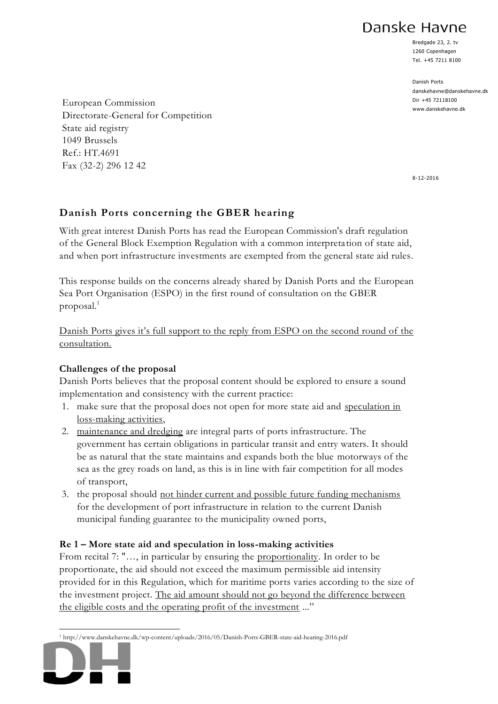Danske Havne

Bredgade 23, 2. tv 1260 Copenhagen Tel. +45 7211 8100

Danish Ports danskehavne@danskehavne.dk Dir +45 72118100 www.danskehavne.dk

European Commission Directorate-General for Competition State aid registry 1049 Brussels Ref.: HT.4691 Fax (32-2) 296 12 42

8-12-2016

# **Danish Ports concerning the GBER hearing**

With great interest Danish Ports has read the European Commission's draft regulation of the General Block Exemption Regulation with a common interpretation of state aid, and when port infrastructure investments are exempted from the general state aid rules.

This response builds on the concerns already shared by Danish Ports and the European Sea Port Organisation (ESPO) in the first round of consultation on the GBER proposal.<sup>1</sup>

Danish Ports gives it's full support to the reply from ESPO on the second round of the consultation.

## **Challenges of the proposal**

Danish Ports believes that the proposal content should be explored to ensure a sound implementation and consistency with the current practice:

- 1. make sure that the proposal does not open for more state aid and speculation in loss-making activities,
- 2. maintenance and dredging are integral parts of ports infrastructure. The government has certain obligations in particular transit and entry waters. It should be as natural that the state maintains and expands both the blue motorways of the sea as the grey roads on land, as this is in line with fair competition for all modes of transport,
- 3. the proposal should not hinder current and possible future funding mechanisms for the development of port infrastructure in relation to the current Danish municipal funding guarantee to the municipality owned ports,

## **Re 1 – More state aid and speculation in loss-making activities**

From recital 7: "…, in particular by ensuring the proportionality. In order to be proportionate, the aid should not exceed the maximum permissible aid intensity provided for in this Regulation, which for maritime ports varies according to the size of the investment project. The aid amount should not go beyond the difference between the eligible costs and the operating profit of the investment ..."

 $\overline{a}$ <sup>1</sup> http://www.danskehavne.dk/wp-content/uploads/2016/05/Danish-Ports-GBER-state-aid-hearing-2016.pdf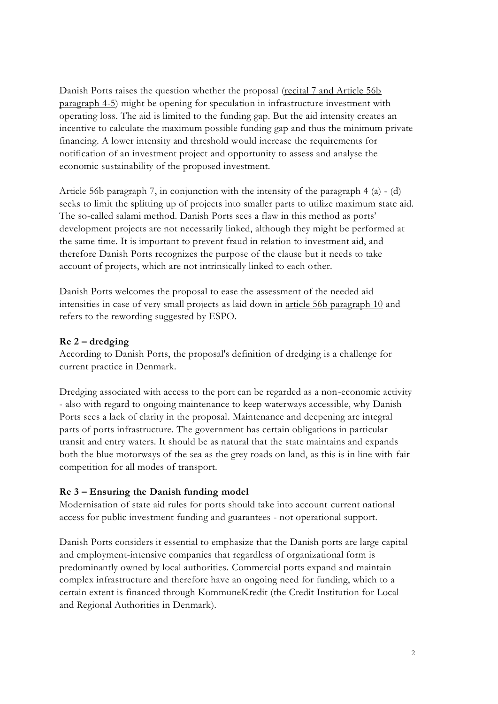Danish Ports raises the question whether the proposal (recital 7 and Article 56b) paragraph 4-5) might be opening for speculation in infrastructure investment with operating loss. The aid is limited to the funding gap. But the aid intensity creates an incentive to calculate the maximum possible funding gap and thus the minimum private financing. A lower intensity and threshold would increase the requirements for notification of an investment project and opportunity to assess and analyse the economic sustainability of the proposed investment.

Article 56b paragraph 7, in conjunction with the intensity of the paragraph 4  $(a)$  -  $(d)$ seeks to limit the splitting up of projects into smaller parts to utilize maximum state aid. The so-called salami method. Danish Ports sees a flaw in this method as ports' development projects are not necessarily linked, although they might be performed at the same time. It is important to prevent fraud in relation to investment aid, and therefore Danish Ports recognizes the purpose of the clause but it needs to take account of projects, which are not intrinsically linked to each other.

Danish Ports welcomes the proposal to ease the assessment of the needed aid intensities in case of very small projects as laid down in article 56b paragraph 10 and refers to the rewording suggested by ESPO.

#### **Re 2 – dredging**

According to Danish Ports, the proposal's definition of dredging is a challenge for current practice in Denmark.

Dredging associated with access to the port can be regarded as a non-economic activity - also with regard to ongoing maintenance to keep waterways accessible, why Danish Ports sees a lack of clarity in the proposal. Maintenance and deepening are integral parts of ports infrastructure. The government has certain obligations in particular transit and entry waters. It should be as natural that the state maintains and expands both the blue motorways of the sea as the grey roads on land, as this is in line with fair competition for all modes of transport.

#### **Re 3 – Ensuring the Danish funding model**

Modernisation of state aid rules for ports should take into account current national access for public investment funding and guarantees - not operational support.

Danish Ports considers it essential to emphasize that the Danish ports are large capital and employment-intensive companies that regardless of organizational form is predominantly owned by local authorities. Commercial ports expand and maintain complex infrastructure and therefore have an ongoing need for funding, which to a certain extent is financed through KommuneKredit (the Credit Institution for Local and Regional Authorities in Denmark).